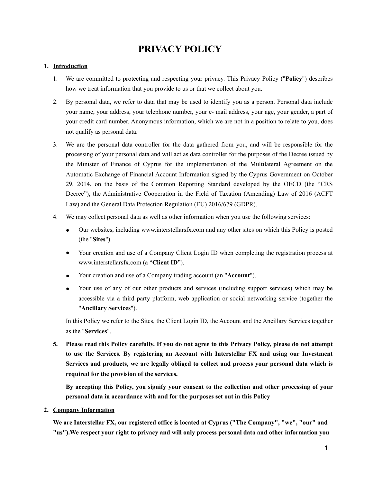# **PRIVACY POLICY**

# **1. Introduction**

- 1. We are committed to protecting and respecting your privacy. This Privacy Policy ("**Policy**") describes how we treat information that you provide to us or that we collect about you.
- 2. By personal data, we refer to data that may be used to identify you as a person. Personal data include your name, your address, your telephone number, your e- mail address, your age, your gender, a part of your credit card number. Anonymous information, which we are not in a position to relate to you, does not qualify as personal data.
- 3. We are the personal data controller for the data gathered from you, and will be responsible for the processing of your personal data and will act as data controller for the purposes of the Decree issued by the Minister of Finance of Cyprus for the implementation of the Multilateral Agreement on the Automatic Exchange of Financial Account Information signed by the Cyprus Government on October 29, 2014, on the basis of the Common Reporting Standard developed by the OECD (the "CRS Decree"), the Administrative Cooperation in the Field of Taxation (Amending) Law of 2016 (ACFT Law) and the General Data Protection Regulation (EU) 2016/679 (GDPR).
- 4. We may collect personal data as well as other information when you use the following services:
	- Our websites, including www.interstellarsfx.com and any other sites on which this Policy is posted (the "**Sites**").
	- Your creation and use of a Company Client Login ID when completing the registration process at www.interstellarsfx.com (a "**Client ID**").
	- Your creation and use of a Company trading account (an "**Account**").
	- Your use of any of our other products and services (including support services) which may be accessible via a third party platform, web application or social networking service (together the "**Ancillary Services**").

In this Policy we refer to the Sites, the Client Login ID, the Account and the Ancillary Services together as the "**Services**".

**5. Please read this Policy carefully. If you do not agree to this Privacy Policy, please do not attempt to use the Services. By registering an Account with Interstellar FX and using our Investment Services and products, we are legally obliged to collect and process your personal data which is required for the provision of the services.** 

**By accepting this Policy, you signify your consent to the collection and other processing of your personal data in accordance with and for the purposes set out in this Policy**

# **2. Company Information**

**We are Interstellar FX, our registered office is located at Cyprus ("The Company", "we", "our" and "us").We respect your right to privacy and will only process personal data and other information you**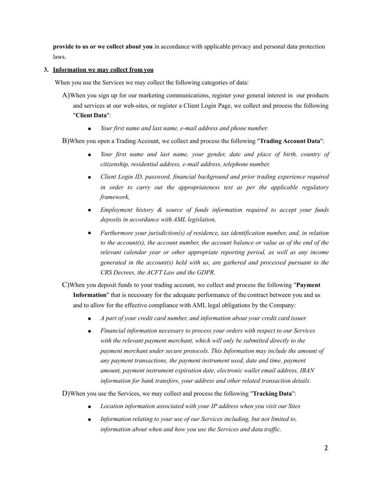**provide to us or we collect about you** in accordance with applicable privacy and personal data protection laws.

# **3. Information we may collect from you**

When you use the Services we may collect the following categories of data:

- A)When you sign up for our marketing communications, register your general interest in our products and services at our web-sites, or register a Client Login Page, we collect and process the following "**Client Data**":
	- *Your first name and last name, e-mail address and phone number.*

B)When you open a Trading Account, we collect and process the following "**Trading Account Data**":

- Your first name and last name, your gender, date and place of birth, country of *citizenship, residential address, e-mail address, telephone number,*
- *Client Login ID, password, financial background and prior trading experience required in order to carry out the appropriateness test as per the applicable regulatory framework,*
- *Employment history & source of funds information required to accept your funds deposits in accordance with AML legislation,*
- *Furthermore your jurisdiction(s) of residence, tax identification number, and, in relation to the account(s), the account number, the account balance or value as of the end of the relevant calendar year or other appropriate reporting period, as well as any income generated in the account(s) held with us, are gathered and processed pursuant to the CRS Decrees, the ACFT Law and the GDPR.*

C)When you deposit funds to your trading account, we collect and process the following "**Payment Information**" that is necessary for the adequate performance of the contract between you and us and to allow for the effective compliance with AML legal obligations by the Company:

- *A part of your credit card number, and information about your credit card issuer.*
- *Financial information necessary to process your orders with respect to our Services with the relevant payment merchant, which will only be submitted directly to the payment merchant under secure protocols. This Information may include the amount of any payment transactions, the payment instrument used, date and time, payment amount, payment instrument expiration date, electronic wallet email address, IBAN information for bank transfers, your address and other related transaction details.*

D)When you use the Services, we may collect and process the following "**Tracking Data**":

- *Location information associated with your IP address when you visit our Sites*
- Information relating to your use of our Services including, but not limited to, *information about when and how you use the Services and data traffic.*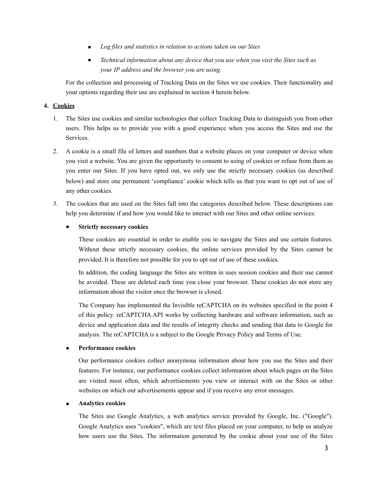- *Log files and statistics in relation to actions taken on our Sites*
- *Technical information about any device that you use when you visit the Sites such as your IP address and the browser you are using.*

For the collection and processing of Tracking Data on the Sites we use cookies. Their functionality and your options regarding their use are explained in section 4 herein below.

# **4. Cookies**

- 1. The Sites use cookies and similar technologies that collect Tracking Data to distinguish you from other users. This helps us to provide you with a good experience when you access the Sites and use the Services.
- 2. A cookie is a small file of letters and numbers that a website places on your computer or device when you visit a website. You are given the opportunity to consent to using of cookies or refuse from them as you enter our Sites. If you have opted out, we only use the strictly necessary cookies (as described below) and store one permanent 'compliance' cookie which tells us that you want to opt out of use of any other cookies.
- 3. The cookies that are used on the Sites fall into the categories described below. These descriptions can help you determine if and how you would like to interact with our Sites and other online services:

# **Strictly necessary cookies**

These cookies are essential in order to enable you to navigate the Sites and use certain features. Without these strictly necessary cookies, the online services provided by the Sites cannot be provided. It is therefore not possible for you to opt out of use of these cookies.

In addition, the coding language the Sites are written in uses session cookies and their use cannot be avoided. These are deleted each time you close your browser. These cookies do not store any information about the visitor once the browser is closed.

The Company has implemented the Invisible reCAPTCHA on its websites specified in the point 4 of this policy. reCAPTCHA API works by collecting hardware and software information, such as device and application data and the results of integrity checks and sending that data to Google for analysis. The reCAPTCHA is a subject to the Google [Privacy Policy](https://policies.google.com/privacy?hl=en) and [Terms of Use.](https://policies.google.com/terms?hl=en) 

# **Performance cookies**

Our performance cookies collect anonymous information about how you use the Sites and their features. For instance, our performance cookies collect information about which pages on the Sites are visited most often, which advertisements you view or interact with on the Sites or other websites on which our advertisements appear and if you receive any error messages.

#### ● **Analytics cookies**

The Sites use Google Analytics, a web analytics service provided by Google, Inc. ("Google"). Google Analytics uses "cookies", which are text files placed on your computer, to help us analyze how users use the Sites. The information generated by the cookie about your use of the Sites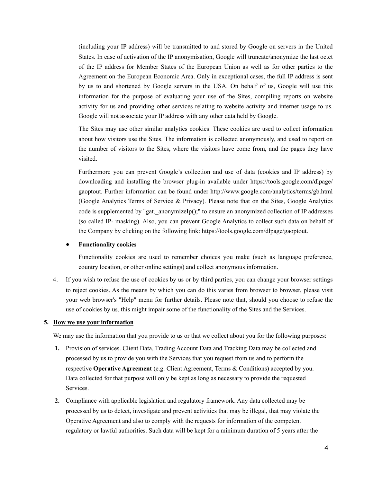(including your IP address) will be transmitted to and stored by Google on servers in the United States. In case of activation of the IP anonymisation, Google will truncate/anonymize the last octet of the IP address for Member States of the European Union as well as for other parties to the Agreement on the European Economic Area. Only in exceptional cases, the full IP address is sent by us to and shortened by Google servers in the USA. On behalf of us, Google will use this information for the purpose of evaluating your use of the Sites, compiling reports on website activity for us and providing other services relating to website activity and internet usage to us. Google will not associate your IP address with any other data held by Google.

The Sites may use other similar analytics cookies. These cookies are used to collect information about how visitors use the Sites. The information is collected anonymously, and used to report on the number of visitors to the Sites, where the visitors have come from, and the pages they have visited.

Furthermore you can prevent Google's collection and use of data (cookies and IP address) by downloading and installing the browser plug-in available under [https://tools.google.com/dlpage/](https://tools.google.com/dlpage/gaoptout?hl=en-GB) [gaoptout](https://tools.google.com/dlpage/gaoptout?hl=en-GB). Further information can be found under <http://www.google.com/analytics/terms/gb.html> (Google Analytics Terms of Service & Privacy). Please note that on the Sites, Google Analytics code is supplemented by "gat. anonymizeIp();" to ensure an anonymized collection of IP addresses (so called IP- masking). Also, you can prevent Google Analytics to collect such data on behalf of the Company by clicking on the following link:<https://tools.google.com/dlpage/gaoptout>.

#### ● **Functionality cookies**

Functionality cookies are used to remember choices you make (such as language preference, country location, or other online settings) and collect anonymous information.

4. If you wish to refuse the use of cookies by us or by third parties, you can change your browser settings to reject cookies. As the means by which you can do this varies from browser to browser, please visit your web browser's "Help" menu for further details. Please note that, should you choose to refuse the use of cookies by us, this might impair some of the functionality of the Sites and the Services.

#### **5. How we use your information**

We may use the information that you provide to us or that we collect about you for the following purposes:

- **1.** Provision of services. Client Data, Trading Account Data and Tracking Data may be collected and processed by us to provide you with the Services that you request from us and to perform the respective **Operative Agreement** (e.g. Client Agreement, Terms & Conditions) accepted by you. Data collected for that purpose will only be kept as long as necessary to provide the requested Services.
- **2.** Compliance with applicable legislation and regulatory framework. Any data collected may be processed by us to detect, investigate and prevent activities that may be illegal, that may violate the Operative Agreement and also to comply with the requests for information of the competent regulatory or lawful authorities. Such data will be kept for a minimum duration of 5 years after the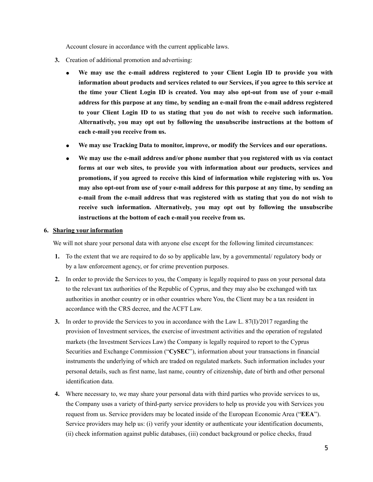Account closure in accordance with the current applicable laws.

- **3.** Creation of additional promotion and advertising:
	- We may use the e-mail address registered to your Client Login ID to provide you with **information about products and services related to our Services, if you agree to this service at the time your Client Login ID is created. You may also opt-out from use of your e-mail address for this purpose at any time, by sending an e-mail from the e-mail address registered to your Client Login ID to us stating that you do not wish to receive such information. Alternatively, you may opt out by following the unsubscribe instructions at the bottom of each e-mail you receive from us.**
	- **We may use Tracking Data to monitor, improve, or modify the Services and our operations.**
	- **We may use the e-mail address and/or phone number that you registered with us via contact forms at our web sites, to provide you with information about our products, services and promotions, if you agreed to receive this kind of information while registering with us. You may also opt-out from use of your e-mail address for this purpose at any time, by sending an e-mail from the e-mail address that was registered with us stating that you do not wish to receive such information. Alternatively, you may opt out by following the unsubscribe instructions at the bottom of each e-mail you receive from us.**

#### **6. Sharing your information**

We will not share your personal data with anyone else except for the following limited circumstances:

- **1.** To the extent that we are required to do so by applicable law, by a governmental/ regulatory body or by a law enforcement agency, or for crime prevention purposes.
- **2.** In order to provide the Services to you, the Company is legally required to pass on your personal data to the relevant tax authorities of the Republic of Cyprus, and they may also be exchanged with tax authorities in another country or in other countries where You, the Client may be a tax resident in accordance with the CRS decree, and the ACFT Law.
- **3.** In order to provide the Services to you in accordance with the Law [L. 87\(I\)/2017 regarding the](https://www.cysec.gov.cy/CMSPages/GetFile.aspx?guid=77e29980-c9c2-449b-b0b4-5da399bd1342)  [provision of Investment services, the exercise of investment activities and the operation of regulated](https://www.cysec.gov.cy/CMSPages/GetFile.aspx?guid=77e29980-c9c2-449b-b0b4-5da399bd1342)  [markets \(](https://www.cysec.gov.cy/CMSPages/GetFile.aspx?guid=77e29980-c9c2-449b-b0b4-5da399bd1342)the Investment Services Law) the Company is legally required to report to the Cyprus Securities and Exchange Commission ("**CySEC**"), information about your transactions in financial instruments the underlying of which are traded on regulated markets. Such information includes your personal details, such as first name, last name, country of citizenship, date of birth and other personal identification data.
- **4.** Where necessary to, we may share your personal data with third parties who provide services to us, the Company uses a variety of third-party service providers to help us provide you with Services you request from us. Service providers may be located inside of the European Economic Area ("**EEA**"). Service providers may help us: (i) verify your identity or authenticate your identification documents, (ii) check information against public databases, (iii) conduct background or police checks, fraud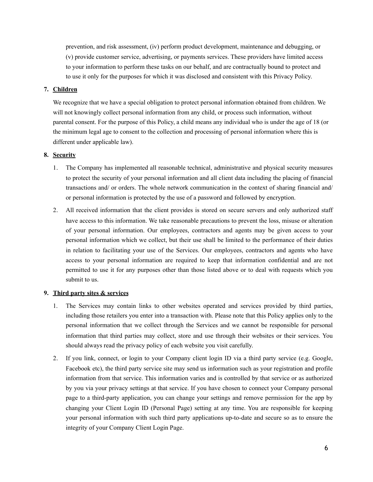prevention, and risk assessment, (iv) perform product development, maintenance and debugging, or (v) provide customer service, advertising, or payments services. These providers have limited access to your information to perform these tasks on our behalf, and are contractually bound to protect and to use it only for the purposes for which it was disclosed and consistent with this Privacy Policy.

# **7. Children**

We recognize that we have a special obligation to protect personal information obtained from children. We will not knowingly collect personal information from any child, or process such information, without parental consent. For the purpose of this Policy, a child means any individual who is under the age of 18 (or the minimum legal age to consent to the collection and processing of personal information where this is different under applicable law).

# **8. Security**

- 1. The Company has implemented all reasonable technical, administrative and physical security measures to protect the security of your personal information and all client data including the placing of financial transactions and/ or orders. The whole network communication in the context of sharing financial and/ or personal information is protected by the use of a password and followed by encryption.
- 2. All received information that the client provides is stored on secure servers and only authorized staff have access to this information. We take reasonable precautions to prevent the loss, misuse or alteration of your personal information. Our employees, contractors and agents may be given access to your personal information which we collect, but their use shall be limited to the performance of their duties in relation to facilitating your use of the Services. Our employees, contractors and agents who have access to your personal information are required to keep that information confidential and are not permitted to use it for any purposes other than those listed above or to deal with requests which you submit to us.

# **9. Third party sites & services**

- 1. The Services may contain links to other websites operated and services provided by third parties, including those retailers you enter into a transaction with. Please note that this Policy applies only to the personal information that we collect through the Services and we cannot be responsible for personal information that third parties may collect, store and use through their websites or their services. You should always read the privacy policy of each website you visit carefully.
- 2. If you link, connect, or login to your Company client login ID via a third party service (e.g. Google, Facebook etc), the third party service site may send us information such as your registration and profile information from that service. This information varies and is controlled by that service or as authorized by you via your privacy settings at that service. If you have chosen to connect your Company personal page to a third-party application, you can change your settings and remove permission for the app by changing your Client Login ID (Personal Page) setting at any time. You are responsible for keeping your personal information with such third party applications up-to-date and secure so as to ensure the integrity of your Company Client Login Page.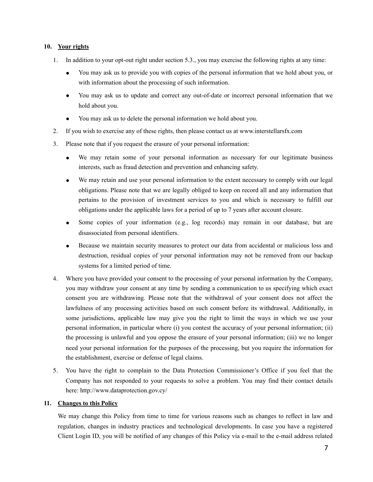## **10. Your rights**

- 1. In addition to your opt-out right under section 5.3., you may exercise the following rights at any time:
	- You may ask us to provide you with copies of the personal information that we hold about you, or with information about the processing of such information.
	- You may ask us to update and correct any out-of-date or incorrect personal information that we hold about you.
	- You may ask us to delete the personal information we hold about you.
- 2. If you wish to exercise any of these rights, then please contact us at www.interstellarsfx.com
- 3. Please note that if you request the erasure of your personal information:
	- We may retain some of your personal information as necessary for our legitimate business interests, such as fraud detection and prevention and enhancing safety.
	- We may retain and use your personal information to the extent necessary to comply with our legal obligations. Please note that we are legally obliged to keep on record all and any information that pertains to the provision of investment services to you and which is necessary to fulfill our obligations under the applicable laws for a period of up to 7 years after account closure.
	- Some copies of your information (e.g., log records) may remain in our database, but are disassociated from personal identifiers.
	- Because we maintain security measures to protect our data from accidental or malicious loss and destruction, residual copies of your personal information may not be removed from our backup systems for a limited period of time.
- 4. Where you have provided your consent to the processing of your personal information by the Company, you may withdraw your consent at any time by sending a communication to us specifying which exact consent you are withdrawing. Please note that the withdrawal of your consent does not affect the lawfulness of any processing activities based on such consent before its withdrawal. Additionally, in some jurisdictions, applicable law may give you the right to limit the ways in which we use your personal information, in particular where (i) you contest the accuracy of your personal information; (ii) the processing is unlawful and you oppose the erasure of your personal information; (iii) we no longer need your personal information for the purposes of the processing, but you require the information for the establishment, exercise or defense of legal claims.
- 5. You have the right to complain to the Data Protection Commissioner's Office if you feel that the Company has not responded to your requests to solve a problem. You may find their contact details here:<http://www.dataprotection.gov.cy/>

#### **11. Changes to this Policy**

We may change this Policy from time to time for various reasons such as changes to reflect in law and regulation, changes in industry practices and technological developments. In case you have a registered Client Login ID, you will be notified of any changes of this Policy via e-mail to the e-mail address related